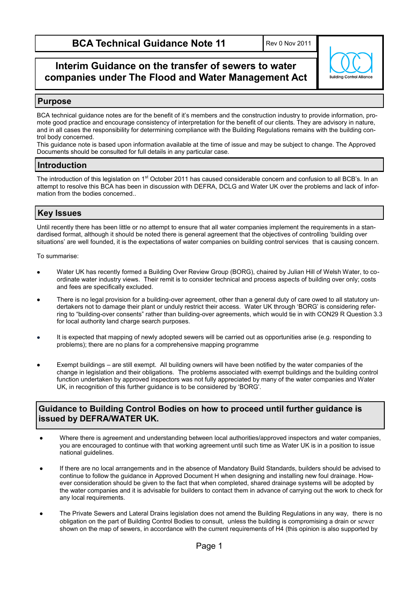Rev 0 Nov 2011

# **Interim Guidance on the transfer of sewers to water companies under The Flood and Water Management Act**



## **Purpose**

BCA technical guidance notes are for the benefit of it"s members and the construction industry to provide information, promote good practice and encourage consistency of interpretation for the benefit of our clients. They are advisory in nature, and in all cases the responsibility for determining compliance with the Building Regulations remains with the building control body concerned.

This guidance note is based upon information available at the time of issue and may be subject to change. The Approved Documents should be consulted for full details in any particular case.

## **Introduction**

The introduction of this legislation on 1<sup>st</sup> October 2011 has caused considerable concern and confusion to all BCB's. In an attempt to resolve this BCA has been in discussion with DEFRA, DCLG and Water UK over the problems and lack of information from the bodies concerned..

## **Key Issues**

Until recently there has been little or no attempt to ensure that all water companies implement the requirements in a standardised format, although it should be noted there is general agreement that the objectives of controlling "building over situations" are well founded, it is the expectations of water companies on building control services that is causing concern.

To summarise:

- Water UK has recently formed a Building Over Review Group (BORG), chaired by Julian Hill of Welsh Water, to coordinate water industry views. Their remit is to consider technical and process aspects of building over only; costs and fees are specifically excluded.
- There is no legal provision for a building-over agreement, other than a general duty of care owed to all statutory undertakers not to damage their plant or unduly restrict their access. Water UK through "BORG" is considering referring to "building-over consents" rather than building-over agreements, which would tie in with CON29 R Question 3.3 for local authority land charge search purposes.
- It is expected that mapping of newly adopted sewers will be carried out as opportunities arise (e.g. responding to problems); there are no plans for a comprehensive mapping programme
- Exempt buildings are still exempt. All building owners will have been notified by the water companies of the change in legislation and their obligations. The problems associated with exempt buildings and the building control function undertaken by approved inspectors was not fully appreciated by many of the water companies and Water UK, in recognition of this further guidance is to be considered by "BORG".

### **Guidance to Building Control Bodies on how to proceed until further guidance is issued by DEFRA/WATER UK.**

- Where there is agreement and understanding between local authorities/approved inspectors and water companies,  $\blacksquare$ you are encouraged to continue with that working agreement until such time as Water UK is in a position to issue national guidelines.
- If there are no local arrangements and in the absence of Mandatory Build Standards, builders should be advised to continue to follow the guidance in Approved Document H when designing and installing new foul drainage. However consideration should be given to the fact that when completed, shared drainage systems will be adopted by the water companies and it is advisable for builders to contact them in advance of carrying out the work to check for any local requirements.
- The Private Sewers and Lateral Drains legislation does not amend the Building Regulations in any way, there is no obligation on the part of Building Control Bodies to consult, unless the building is compromising a drain or sewer shown on the map of sewers, in accordance with the current requirements of H4 (this opinion is also supported by